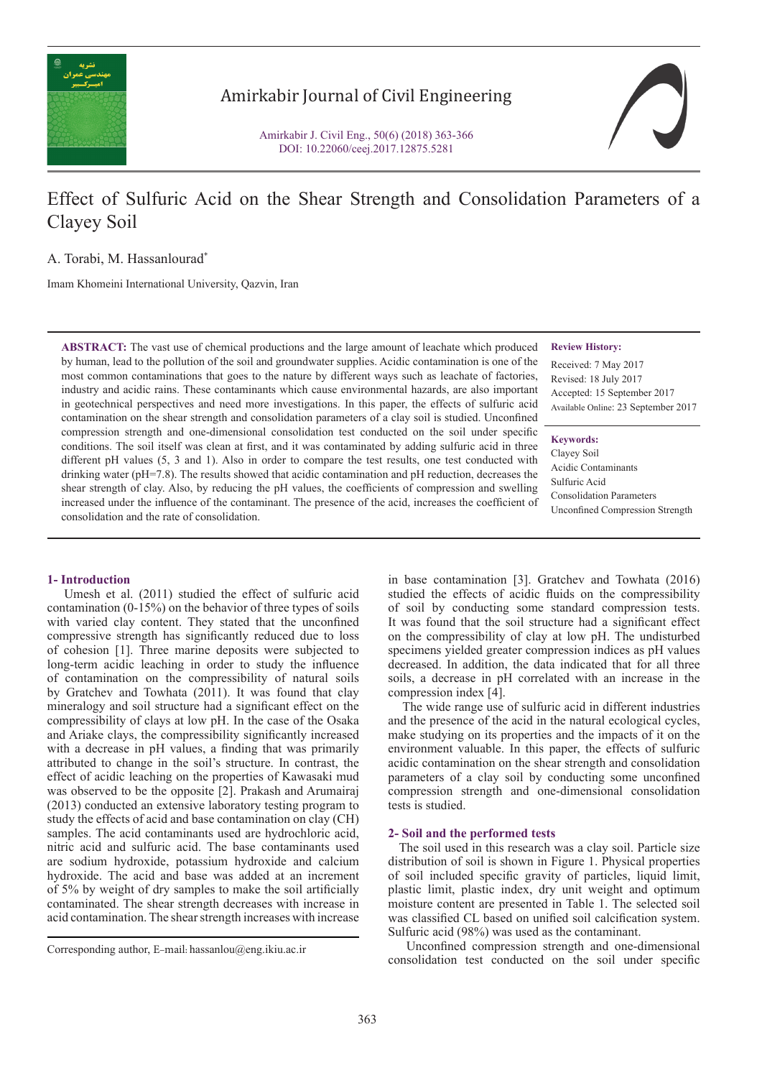

## Amirkabir Journal of Civil Engineering

Amirkabir J. Civil Eng., 50(6) (2018) 363-366 DOI: 10.22060/ceej.2017.12875.5281



# Effect of Sulfuric Acid on the Shear Strength and Consolidation Parameters of a Clayey Soil

A. Torabi, M. Hassanlourad\*

Imam Khomeini International University, Qazvin, Iran

**ABSTRACT:** The vast use of chemical productions and the large amount of leachate which produced by human, lead to the pollution of the soil and groundwater supplies. Acidic contamination is one of the most common contaminations that goes to the nature by different ways such as leachate of factories, industry and acidic rains. These contaminants which cause environmental hazards, are also important in geotechnical perspectives and need more investigations. In this paper, the effects of sulfuric acid contamination on the shear strength and consolidation parameters of a clay soil is studied. Unconfined compression strength and one-dimensional consolidation test conducted on the soil under specific conditions. The soil itself was clean at first, and it was contaminated by adding sulfuric acid in three different pH values (5, 3 and 1). Also in order to compare the test results, one test conducted with drinking water (pH=7.8). The results showed that acidic contamination and pH reduction, decreases the shear strength of clay. Also, by reducing the pH values, the coefficients of compression and swelling increased under the influence of the contaminant. The presence of the acid, increases the coefficient of consolidation and the rate of consolidation.

## **1- Introduction**

 Umesh et al. (2011) studied the effect of sulfuric acid contamination (0-15%) on the behavior of three types of soils with varied clay content. They stated that the unconfined compressive strength has significantly reduced due to loss of cohesion [1]. Three marine deposits were subjected to long-term acidic leaching in order to study the influence of contamination on the compressibility of natural soils by Gratchev and Towhata (2011). It was found that clay mineralogy and soil structure had a significant effect on the compressibility of clays at low pH. In the case of the Osaka and Ariake clays, the compressibility significantly increased with a decrease in pH values, a finding that was primarily attributed to change in the soil's structure. In contrast, the effect of acidic leaching on the properties of Kawasaki mud was observed to be the opposite [2]. Prakash and Arumairaj (2013) conducted an extensive laboratory testing program to study the effects of acid and base contamination on clay (CH) samples. The acid contaminants used are hydrochloric acid, nitric acid and sulfuric acid. The base contaminants used are sodium hydroxide, potassium hydroxide and calcium hydroxide. The acid and base was added at an increment of 5% by weight of dry samples to make the soil artificially contaminated. The shear strength decreases with increase in acid contamination. The shear strength increases with increase

#### **Review History:**

Received: 7 May 2017 Revised: 18 July 2017 Accepted: 15 September 2017 Available Online: 23 September 2017

#### **Keywords:**

Clayey Soil Acidic Contaminants Sulfuric Acid Consolidation Parameters Unconfined Compression Strength

in base contamination [3]. Gratchev and Towhata (2016) studied the effects of acidic fluids on the compressibility of soil by conducting some standard compression tests. It was found that the soil structure had a significant effect on the compressibility of clay at low pH. The undisturbed specimens yielded greater compression indices as pH values decreased. In addition, the data indicated that for all three soils, a decrease in pH correlated with an increase in the compression index [4].

 The wide range use of sulfuric acid in different industries and the presence of the acid in the natural ecological cycles, make studying on its properties and the impacts of it on the environment valuable. In this paper, the effects of sulfuric acidic contamination on the shear strength and consolidation parameters of a clay soil by conducting some unconfined compression strength and one-dimensional consolidation tests is studied.

#### **2- Soil and the performed tests**

 The soil used in this research was a clay soil. Particle size distribution of soil is shown in Figure 1. Physical properties of soil included specific gravity of particles, liquid limit, plastic limit, plastic index, dry unit weight and optimum moisture content are presented in Table 1. The selected soil was classified CL based on unified soil calcification system. Sulfuric acid (98%) was used as the contaminant.

 Unconfined compression strength and one-dimensional Corresponding author, E-mail: hassanlou@eng.ikiu.ac.ir<br>
consolidation test conducted on the soil under specific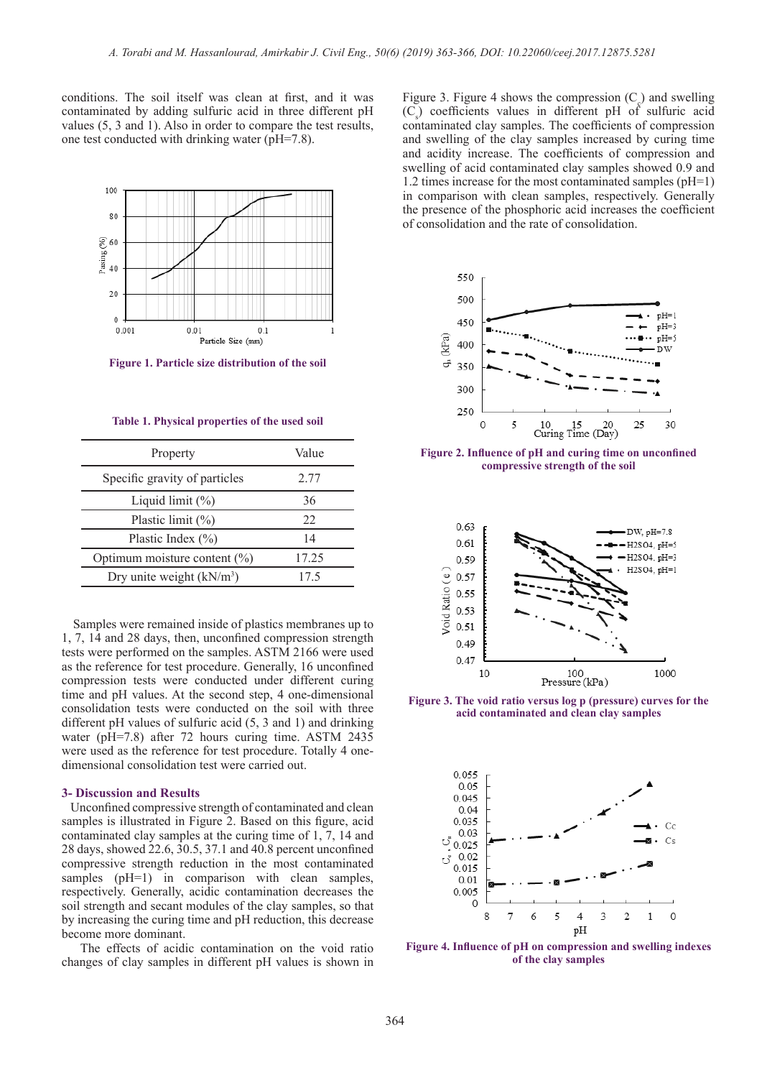conditions. The soil itself was clean at first, and it was contaminated by adding sulfuric acid in three different pH values (5, 3 and 1). Also in order to compare the test results, one test conducted with drinking water (pH=7.8).



**Figure 1. Particle size distribution of the soil**

| Table 1. Physical properties of the used soil |  |  |  |  |
|-----------------------------------------------|--|--|--|--|
|-----------------------------------------------|--|--|--|--|

| Property                         | Value |  |
|----------------------------------|-------|--|
| Specific gravity of particles    | 2.77  |  |
| Liquid limit $(\%)$              | 36    |  |
| Plastic limit $(\% )$            | 22    |  |
| Plastic Index $(\% )$            | 14    |  |
| Optimum moisture content $(\% )$ | 17.25 |  |
| Dry unite weight $(kN/m3)$       | 17.5  |  |

 Samples were remained inside of plastics membranes up to 1, 7, 14 and 28 days, then, unconfined compression strength tests were performed on the samples. ASTM 2166 were used as the reference for test procedure. Generally, 16 unconfined compression tests were conducted under different curing time and pH values. At the second step, 4 one-dimensional consolidation tests were conducted on the soil with three different pH values of sulfuric acid (5, 3 and 1) and drinking water (pH=7.8) after 72 hours curing time. ASTM 2435 were used as the reference for test procedure. Totally 4 onedimensional consolidation test were carried out.

#### **3- Discussion and Results**

 Unconfined compressive strength of contaminated and clean samples is illustrated in Figure 2. Based on this figure, acid contaminated clay samples at the curing time of 1, 7, 14 and 28 days, showed 22.6, 30.5, 37.1 and 40.8 percent unconfined compressive strength reduction in the most contaminated samples (pH=1) in comparison with clean samples, respectively. Generally, acidic contamination decreases the soil strength and secant modules of the clay samples, so that by increasing the curing time and pH reduction, this decrease become more dominant.

 The effects of acidic contamination on the void ratio changes of clay samples in different pH values is shown in

Figure 3. Figure 4 shows the compression  $(C_{\zeta})$  and swelling  $(C_s)$  coefficients values in different pH of sulfuric acid contaminated clay samples. The coefficients of compression and swelling of the clay samples increased by curing time and acidity increase. The coefficients of compression and swelling of acid contaminated clay samples showed 0.9 and 1.2 times increase for the most contaminated samples (pH=1) in comparison with clean samples, respectively. Generally the presence of the phosphoric acid increases the coefficient of consolidation and the rate of consolidation.



**Figure 2. Influence of pH and curing time on unconfined compressive strength of the soil**



**Figure 3. The void ratio versus log p (pressure) curves for the acid contaminated and clean clay samples**



**Figure 4. Influence of pH on compression and swelling indexes of the clay samples**